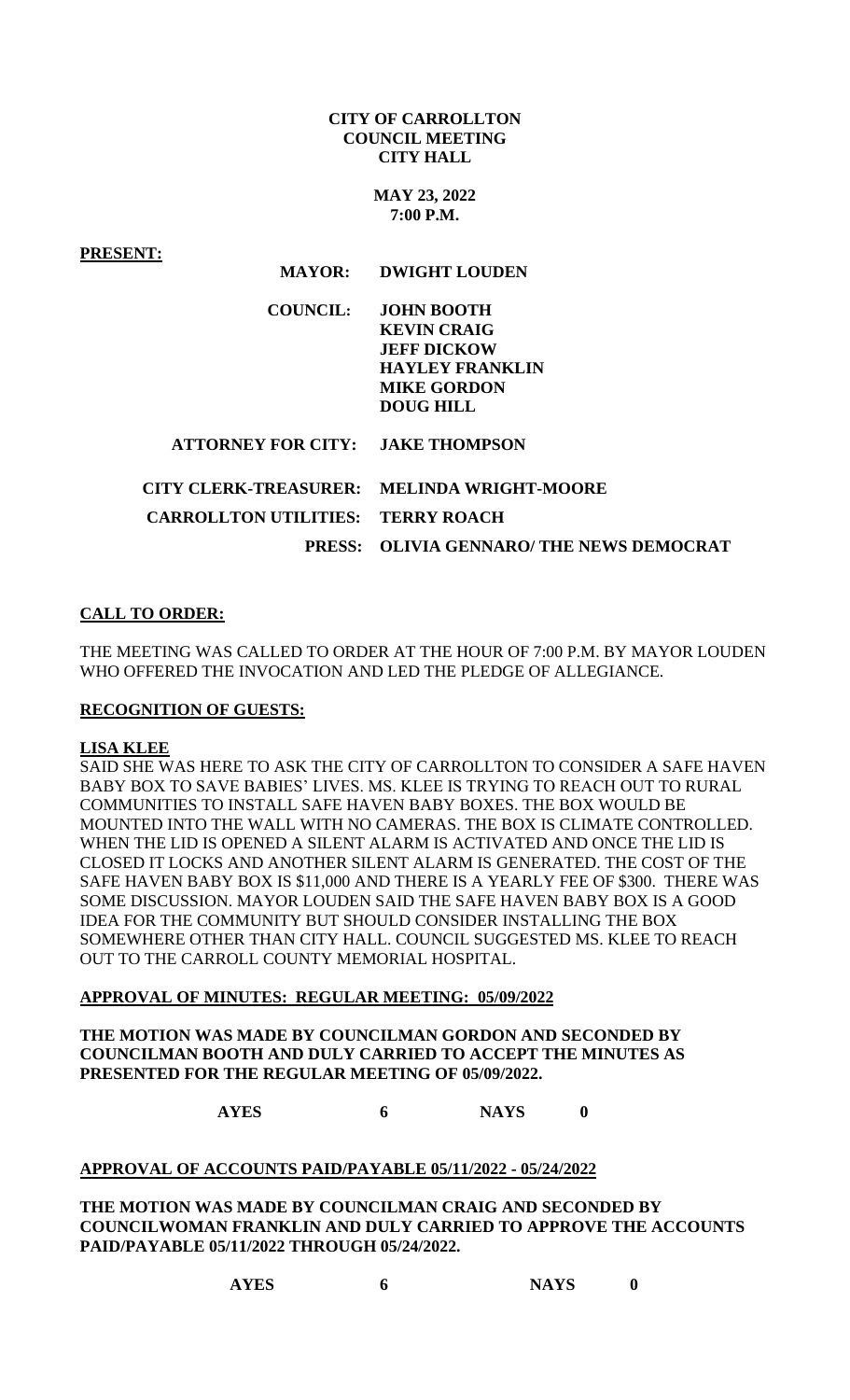### **CITY OF CARROLLTON COUNCIL MEETING CITY HALL**

**MAY 23, 2022 7:00 P.M.**

**PRESENT:**

#### **MAYOR: DWIGHT LOUDEN**

| COUNCIL: | <b>JOHN BOOTH</b><br><b>KEVIN CRAIG</b><br><b>JEFF DICKOW</b><br><b>HAYLEY FRANKLIN</b><br><b>MIKE GORDON</b> |
|----------|---------------------------------------------------------------------------------------------------------------|
|          | DOUG HILL                                                                                                     |

 **ATTORNEY FOR CITY: JAKE THOMPSON**

|                                          | CITY CLERK-TREASURER: MELINDA WRIGHT-MOORE |
|------------------------------------------|--------------------------------------------|
| <b>CARROLLTON UTILITIES: TERRY ROACH</b> |                                            |
|                                          | PRESS: OLIVIA GENNARO/ THE NEWS DEMOCRAT   |

# **CALL TO ORDER:**

THE MEETING WAS CALLED TO ORDER AT THE HOUR OF 7:00 P.M. BY MAYOR LOUDEN WHO OFFERED THE INVOCATION AND LED THE PLEDGE OF ALLEGIANCE.

#### **RECOGNITION OF GUESTS:**

#### **LISA KLEE**

SAID SHE WAS HERE TO ASK THE CITY OF CARROLLTON TO CONSIDER A SAFE HAVEN BABY BOX TO SAVE BABIES' LIVES. MS. KLEE IS TRYING TO REACH OUT TO RURAL COMMUNITIES TO INSTALL SAFE HAVEN BABY BOXES. THE BOX WOULD BE MOUNTED INTO THE WALL WITH NO CAMERAS. THE BOX IS CLIMATE CONTROLLED. WHEN THE LID IS OPENED A SILENT ALARM IS ACTIVATED AND ONCE THE LID IS CLOSED IT LOCKS AND ANOTHER SILENT ALARM IS GENERATED. THE COST OF THE SAFE HAVEN BABY BOX IS \$11,000 AND THERE IS A YEARLY FEE OF \$300. THERE WAS SOME DISCUSSION. MAYOR LOUDEN SAID THE SAFE HAVEN BABY BOX IS A GOOD IDEA FOR THE COMMUNITY BUT SHOULD CONSIDER INSTALLING THE BOX SOMEWHERE OTHER THAN CITY HALL. COUNCIL SUGGESTED MS. KLEE TO REACH OUT TO THE CARROLL COUNTY MEMORIAL HOSPITAL.

#### **APPROVAL OF MINUTES: REGULAR MEETING: 05/09/2022**

### **THE MOTION WAS MADE BY COUNCILMAN GORDON AND SECONDED BY COUNCILMAN BOOTH AND DULY CARRIED TO ACCEPT THE MINUTES AS PRESENTED FOR THE REGULAR MEETING OF 05/09/2022.**

**AYES 6 NAYS 0**

### **APPROVAL OF ACCOUNTS PAID/PAYABLE 05/11/2022 - 05/24/2022**

**THE MOTION WAS MADE BY COUNCILMAN CRAIG AND SECONDED BY COUNCILWOMAN FRANKLIN AND DULY CARRIED TO APPROVE THE ACCOUNTS PAID/PAYABLE 05/11/2022 THROUGH 05/24/2022.**

| <b>AYES</b> | <b>NAYS</b> |  |
|-------------|-------------|--|
|             |             |  |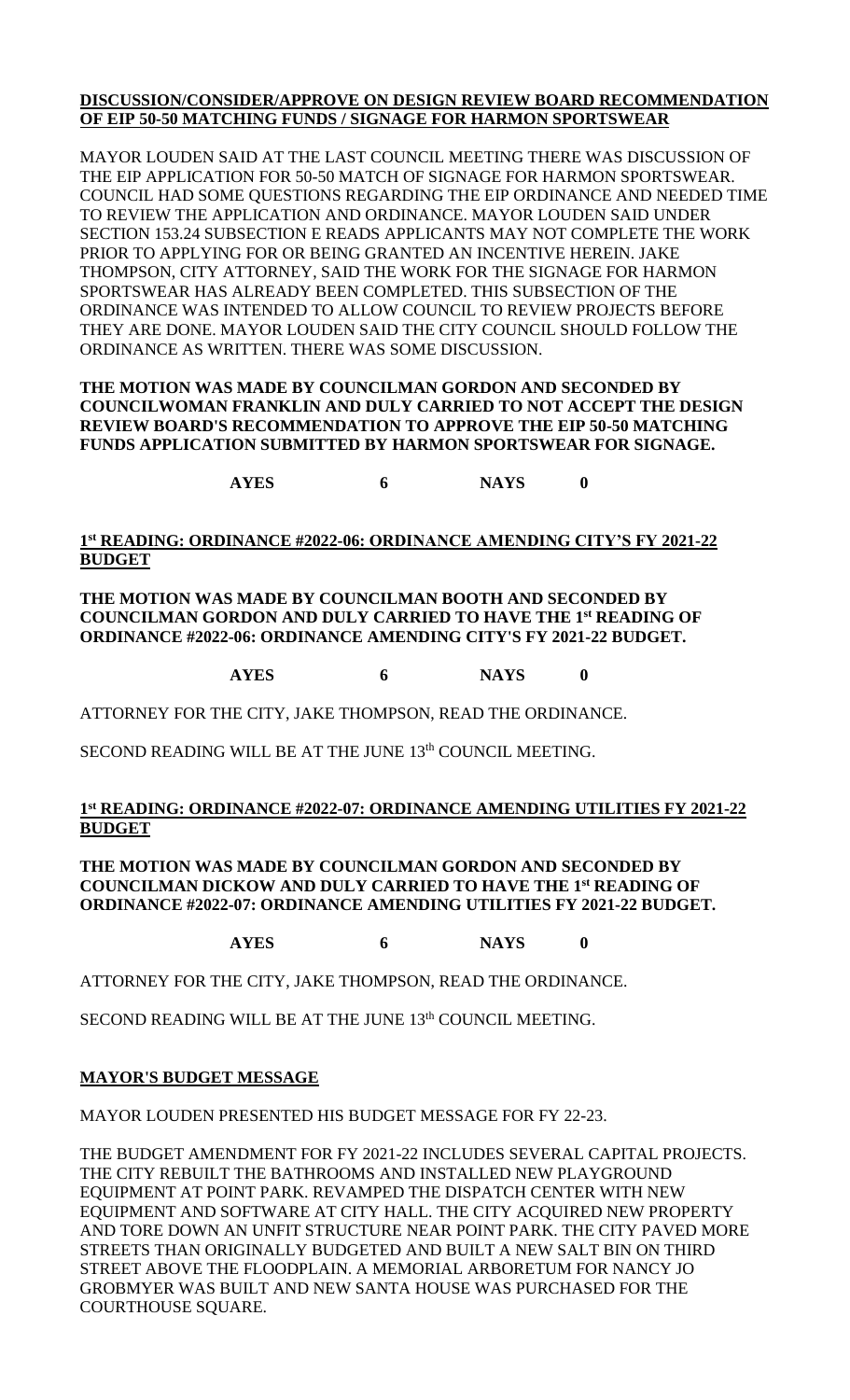# **DISCUSSION/CONSIDER/APPROVE ON DESIGN REVIEW BOARD RECOMMENDATION OF EIP 50-50 MATCHING FUNDS / SIGNAGE FOR HARMON SPORTSWEAR**

MAYOR LOUDEN SAID AT THE LAST COUNCIL MEETING THERE WAS DISCUSSION OF THE EIP APPLICATION FOR 50-50 MATCH OF SIGNAGE FOR HARMON SPORTSWEAR. COUNCIL HAD SOME QUESTIONS REGARDING THE EIP ORDINANCE AND NEEDED TIME TO REVIEW THE APPLICATION AND ORDINANCE. MAYOR LOUDEN SAID UNDER SECTION 153.24 SUBSECTION E READS APPLICANTS MAY NOT COMPLETE THE WORK PRIOR TO APPLYING FOR OR BEING GRANTED AN INCENTIVE HEREIN. JAKE THOMPSON, CITY ATTORNEY, SAID THE WORK FOR THE SIGNAGE FOR HARMON SPORTSWEAR HAS ALREADY BEEN COMPLETED. THIS SUBSECTION OF THE ORDINANCE WAS INTENDED TO ALLOW COUNCIL TO REVIEW PROJECTS BEFORE THEY ARE DONE. MAYOR LOUDEN SAID THE CITY COUNCIL SHOULD FOLLOW THE ORDINANCE AS WRITTEN. THERE WAS SOME DISCUSSION.

# **THE MOTION WAS MADE BY COUNCILMAN GORDON AND SECONDED BY COUNCILWOMAN FRANKLIN AND DULY CARRIED TO NOT ACCEPT THE DESIGN REVIEW BOARD'S RECOMMENDATION TO APPROVE THE EIP 50-50 MATCHING FUNDS APPLICATION SUBMITTED BY HARMON SPORTSWEAR FOR SIGNAGE.**

**AYES 6 NAYS 0**

# **1 st READING: ORDINANCE #2022-06: ORDINANCE AMENDING CITY'S FY 2021-22 BUDGET**

**THE MOTION WAS MADE BY COUNCILMAN BOOTH AND SECONDED BY COUNCILMAN GORDON AND DULY CARRIED TO HAVE THE 1st READING OF ORDINANCE #2022-06: ORDINANCE AMENDING CITY'S FY 2021-22 BUDGET.**

**AYES 6 NAYS 0**

ATTORNEY FOR THE CITY, JAKE THOMPSON, READ THE ORDINANCE.

SECOND READING WILL BE AT THE JUNE 13<sup>th</sup> COUNCIL MEETING.

# **1 st READING: ORDINANCE #2022-07: ORDINANCE AMENDING UTILITIES FY 2021-22 BUDGET**

**THE MOTION WAS MADE BY COUNCILMAN GORDON AND SECONDED BY COUNCILMAN DICKOW AND DULY CARRIED TO HAVE THE 1st READING OF ORDINANCE #2022-07: ORDINANCE AMENDING UTILITIES FY 2021-22 BUDGET.**

**AYES 6 NAYS 0**

ATTORNEY FOR THE CITY, JAKE THOMPSON, READ THE ORDINANCE.

SECOND READING WILL BE AT THE JUNE 13<sup>th</sup> COUNCIL MEETING.

### **MAYOR'S BUDGET MESSAGE**

MAYOR LOUDEN PRESENTED HIS BUDGET MESSAGE FOR FY 22-23.

THE BUDGET AMENDMENT FOR FY 2021-22 INCLUDES SEVERAL CAPITAL PROJECTS. THE CITY REBUILT THE BATHROOMS AND INSTALLED NEW PLAYGROUND EQUIPMENT AT POINT PARK. REVAMPED THE DISPATCH CENTER WITH NEW EQUIPMENT AND SOFTWARE AT CITY HALL. THE CITY ACQUIRED NEW PROPERTY AND TORE DOWN AN UNFIT STRUCTURE NEAR POINT PARK. THE CITY PAVED MORE STREETS THAN ORIGINALLY BUDGETED AND BUILT A NEW SALT BIN ON THIRD STREET ABOVE THE FLOODPLAIN. A MEMORIAL ARBORETUM FOR NANCY JO GROBMYER WAS BUILT AND NEW SANTA HOUSE WAS PURCHASED FOR THE COURTHOUSE SQUARE.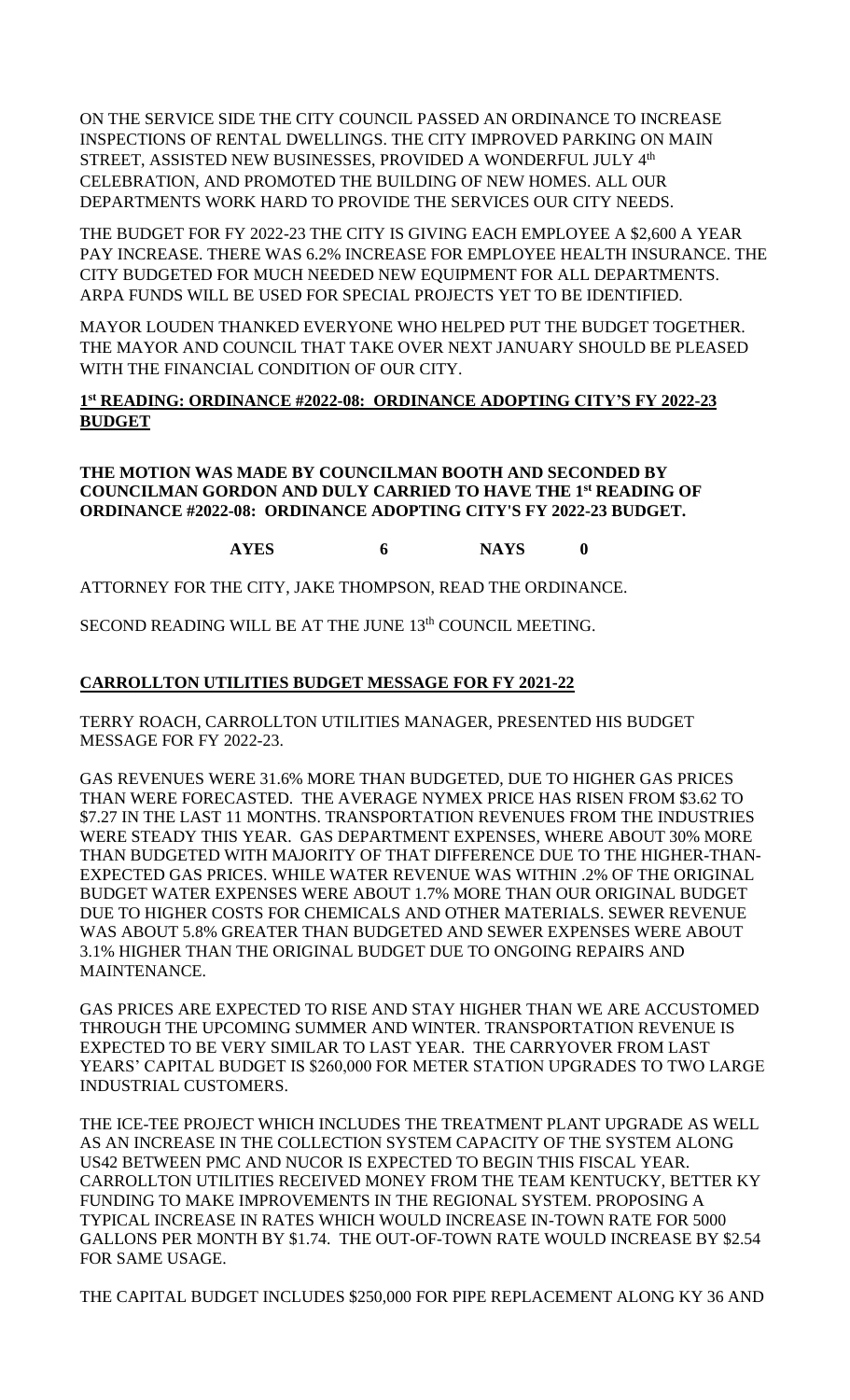ON THE SERVICE SIDE THE CITY COUNCIL PASSED AN ORDINANCE TO INCREASE INSPECTIONS OF RENTAL DWELLINGS. THE CITY IMPROVED PARKING ON MAIN STREET, ASSISTED NEW BUSINESSES, PROVIDED A WONDERFUL JULY 4<sup>th</sup> CELEBRATION, AND PROMOTED THE BUILDING OF NEW HOMES. ALL OUR DEPARTMENTS WORK HARD TO PROVIDE THE SERVICES OUR CITY NEEDS.

THE BUDGET FOR FY 2022-23 THE CITY IS GIVING EACH EMPLOYEE A \$2,600 A YEAR PAY INCREASE. THERE WAS 6.2% INCREASE FOR EMPLOYEE HEALTH INSURANCE. THE CITY BUDGETED FOR MUCH NEEDED NEW EQUIPMENT FOR ALL DEPARTMENTS. ARPA FUNDS WILL BE USED FOR SPECIAL PROJECTS YET TO BE IDENTIFIED.

MAYOR LOUDEN THANKED EVERYONE WHO HELPED PUT THE BUDGET TOGETHER. THE MAYOR AND COUNCIL THAT TAKE OVER NEXT JANUARY SHOULD BE PLEASED WITH THE FINANCIAL CONDITION OF OUR CITY.

# **1 st READING: ORDINANCE #2022-08: ORDINANCE ADOPTING CITY'S FY 2022-23 BUDGET**

### **THE MOTION WAS MADE BY COUNCILMAN BOOTH AND SECONDED BY COUNCILMAN GORDON AND DULY CARRIED TO HAVE THE 1st READING OF ORDINANCE #2022-08: ORDINANCE ADOPTING CITY'S FY 2022-23 BUDGET.**

**AYES 6 NAYS 0**

ATTORNEY FOR THE CITY, JAKE THOMPSON, READ THE ORDINANCE.

SECOND READING WILL BE AT THE JUNE 13<sup>th</sup> COUNCIL MEETING.

# **CARROLLTON UTILITIES BUDGET MESSAGE FOR FY 2021-22**

TERRY ROACH, CARROLLTON UTILITIES MANAGER, PRESENTED HIS BUDGET MESSAGE FOR FY 2022-23.

GAS REVENUES WERE 31.6% MORE THAN BUDGETED, DUE TO HIGHER GAS PRICES THAN WERE FORECASTED. THE AVERAGE NYMEX PRICE HAS RISEN FROM \$3.62 TO \$7.27 IN THE LAST 11 MONTHS. TRANSPORTATION REVENUES FROM THE INDUSTRIES WERE STEADY THIS YEAR. GAS DEPARTMENT EXPENSES, WHERE ABOUT 30% MORE THAN BUDGETED WITH MAJORITY OF THAT DIFFERENCE DUE TO THE HIGHER-THAN-EXPECTED GAS PRICES. WHILE WATER REVENUE WAS WITHIN .2% OF THE ORIGINAL BUDGET WATER EXPENSES WERE ABOUT 1.7% MORE THAN OUR ORIGINAL BUDGET DUE TO HIGHER COSTS FOR CHEMICALS AND OTHER MATERIALS. SEWER REVENUE WAS ABOUT 5.8% GREATER THAN BUDGETED AND SEWER EXPENSES WERE ABOUT 3.1% HIGHER THAN THE ORIGINAL BUDGET DUE TO ONGOING REPAIRS AND MAINTENANCE.

GAS PRICES ARE EXPECTED TO RISE AND STAY HIGHER THAN WE ARE ACCUSTOMED THROUGH THE UPCOMING SUMMER AND WINTER. TRANSPORTATION REVENUE IS EXPECTED TO BE VERY SIMILAR TO LAST YEAR. THE CARRYOVER FROM LAST YEARS' CAPITAL BUDGET IS \$260,000 FOR METER STATION UPGRADES TO TWO LARGE INDUSTRIAL CUSTOMERS.

THE ICE-TEE PROJECT WHICH INCLUDES THE TREATMENT PLANT UPGRADE AS WELL AS AN INCREASE IN THE COLLECTION SYSTEM CAPACITY OF THE SYSTEM ALONG US42 BETWEEN PMC AND NUCOR IS EXPECTED TO BEGIN THIS FISCAL YEAR. CARROLLTON UTILITIES RECEIVED MONEY FROM THE TEAM KENTUCKY, BETTER KY FUNDING TO MAKE IMPROVEMENTS IN THE REGIONAL SYSTEM. PROPOSING A TYPICAL INCREASE IN RATES WHICH WOULD INCREASE IN-TOWN RATE FOR 5000 GALLONS PER MONTH BY \$1.74. THE OUT-OF-TOWN RATE WOULD INCREASE BY \$2.54 FOR SAME USAGE.

THE CAPITAL BUDGET INCLUDES \$250,000 FOR PIPE REPLACEMENT ALONG KY 36 AND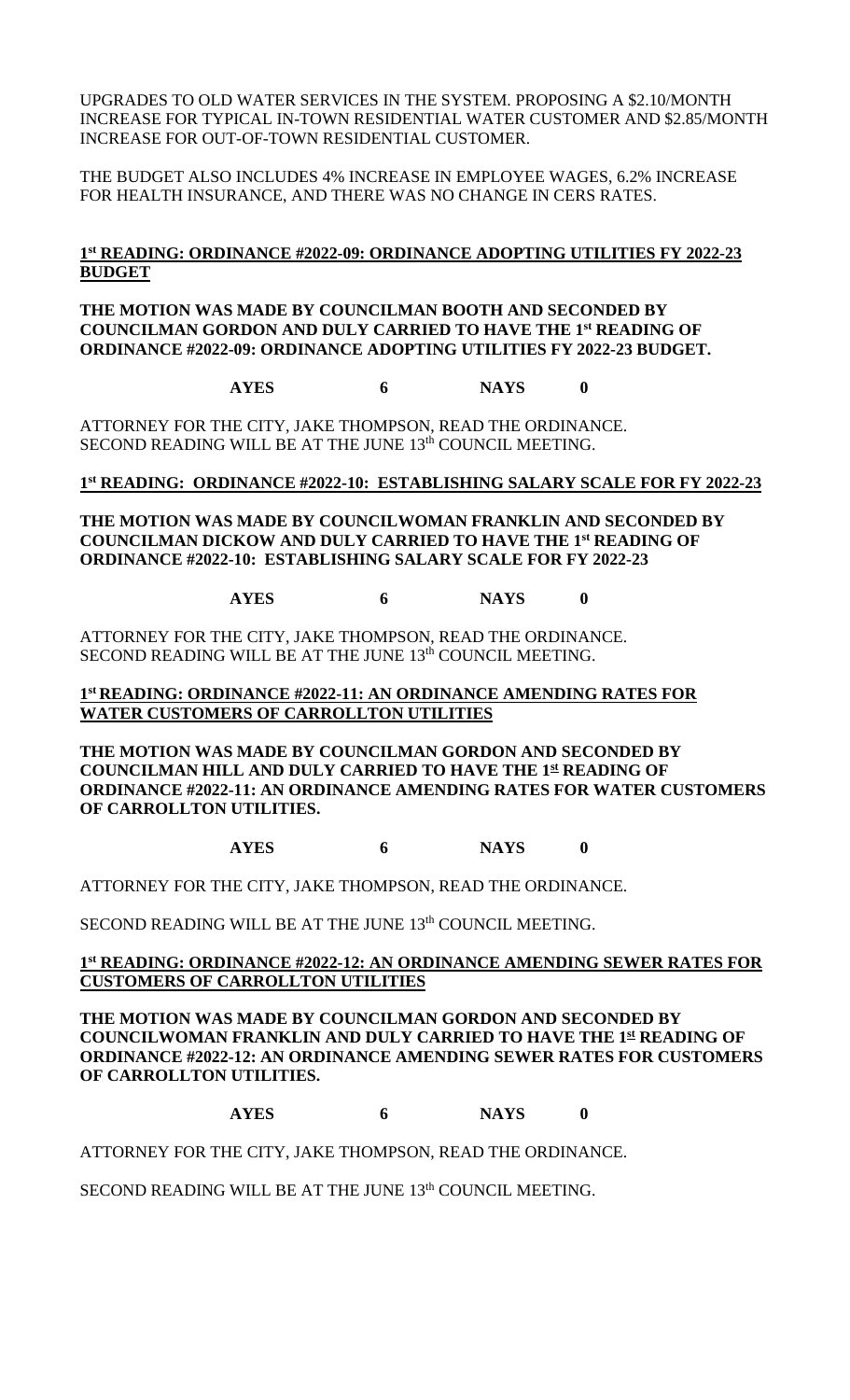UPGRADES TO OLD WATER SERVICES IN THE SYSTEM. PROPOSING A \$2.10/MONTH INCREASE FOR TYPICAL IN-TOWN RESIDENTIAL WATER CUSTOMER AND \$2.85/MONTH INCREASE FOR OUT-OF-TOWN RESIDENTIAL CUSTOMER.

THE BUDGET ALSO INCLUDES 4% INCREASE IN EMPLOYEE WAGES, 6.2% INCREASE FOR HEALTH INSURANCE, AND THERE WAS NO CHANGE IN CERS RATES.

### **1 st READING: ORDINANCE #2022-09: ORDINANCE ADOPTING UTILITIES FY 2022-23 BUDGET**

**THE MOTION WAS MADE BY COUNCILMAN BOOTH AND SECONDED BY COUNCILMAN GORDON AND DULY CARRIED TO HAVE THE 1st READING OF ORDINANCE #2022-09: ORDINANCE ADOPTING UTILITIES FY 2022-23 BUDGET.**

**AYES 6 NAYS 0**

ATTORNEY FOR THE CITY, JAKE THOMPSON, READ THE ORDINANCE. SECOND READING WILL BE AT THE JUNE 13<sup>th</sup> COUNCIL MEETING.

### **1 st READING: ORDINANCE #2022-10: ESTABLISHING SALARY SCALE FOR FY 2022-23**

**THE MOTION WAS MADE BY COUNCILWOMAN FRANKLIN AND SECONDED BY COUNCILMAN DICKOW AND DULY CARRIED TO HAVE THE 1st READING OF ORDINANCE #2022-10: ESTABLISHING SALARY SCALE FOR FY 2022-23**

**AYES 6 NAYS 0**

ATTORNEY FOR THE CITY, JAKE THOMPSON, READ THE ORDINANCE. SECOND READING WILL BE AT THE JUNE 13<sup>th</sup> COUNCIL MEETING.

**1 st READING: ORDINANCE #2022-11: AN ORDINANCE AMENDING RATES FOR WATER CUSTOMERS OF CARROLLTON UTILITIES**

**THE MOTION WAS MADE BY COUNCILMAN GORDON AND SECONDED BY COUNCILMAN HILL AND DULY CARRIED TO HAVE THE 1st READING OF ORDINANCE #2022-11: AN ORDINANCE AMENDING RATES FOR WATER CUSTOMERS OF CARROLLTON UTILITIES.**

**AYES 6 NAYS 0**

ATTORNEY FOR THE CITY, JAKE THOMPSON, READ THE ORDINANCE.

SECOND READING WILL BE AT THE JUNE 13<sup>th</sup> COUNCIL MEETING.

**1 st READING: ORDINANCE #2022-12: AN ORDINANCE AMENDING SEWER RATES FOR CUSTOMERS OF CARROLLTON UTILITIES**

**THE MOTION WAS MADE BY COUNCILMAN GORDON AND SECONDED BY COUNCILWOMAN FRANKLIN AND DULY CARRIED TO HAVE THE 1st READING OF ORDINANCE #2022-12: AN ORDINANCE AMENDING SEWER RATES FOR CUSTOMERS OF CARROLLTON UTILITIES.**

**AYES 6 NAYS 0**

ATTORNEY FOR THE CITY, JAKE THOMPSON, READ THE ORDINANCE.

SECOND READING WILL BE AT THE JUNE 13<sup>th</sup> COUNCIL MEETING.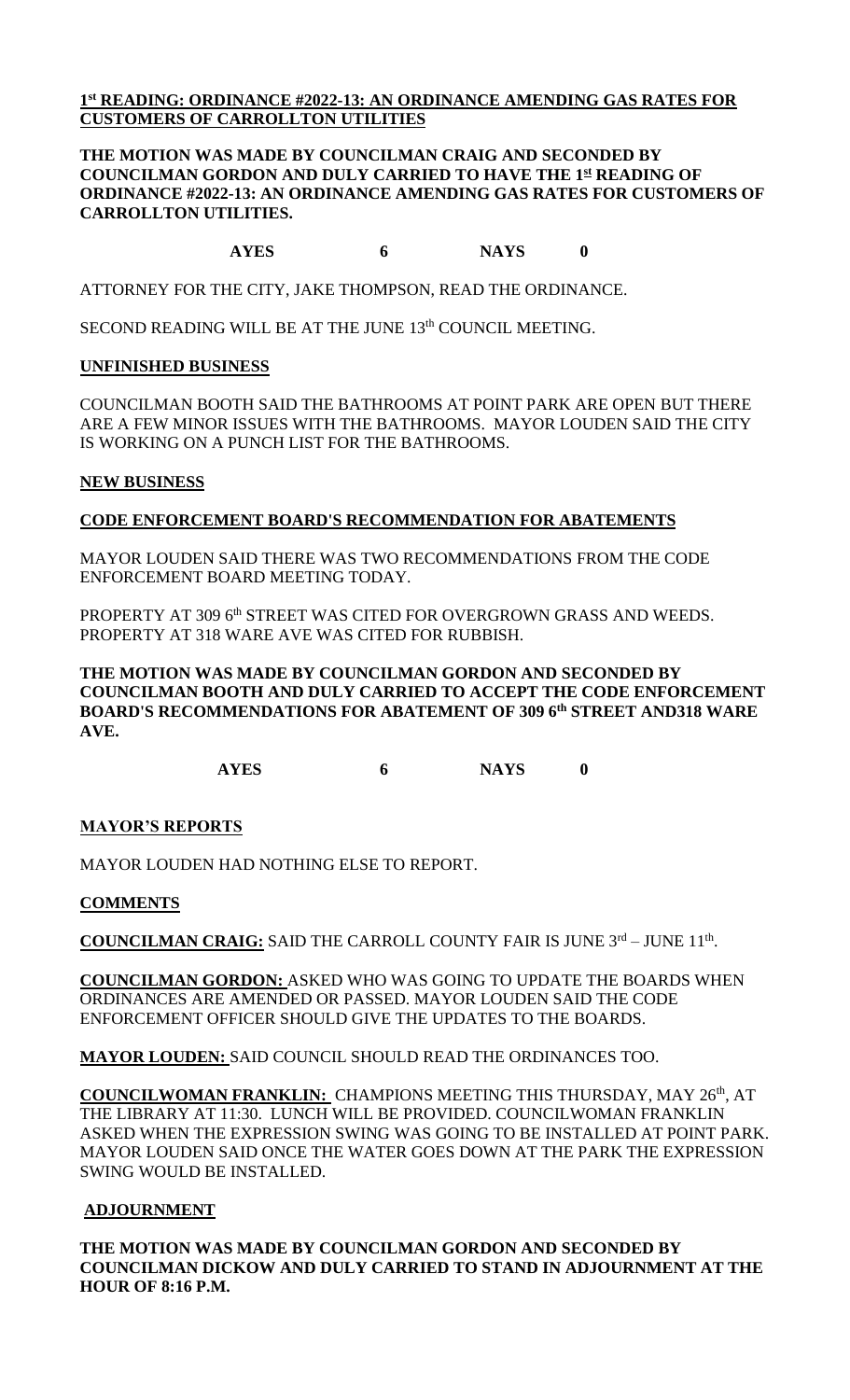### **1 st READING: ORDINANCE #2022-13: AN ORDINANCE AMENDING GAS RATES FOR CUSTOMERS OF CARROLLTON UTILITIES**

### **THE MOTION WAS MADE BY COUNCILMAN CRAIG AND SECONDED BY COUNCILMAN GORDON AND DULY CARRIED TO HAVE THE 1st READING OF ORDINANCE #2022-13: AN ORDINANCE AMENDING GAS RATES FOR CUSTOMERS OF CARROLLTON UTILITIES.**

### **AYES 6 NAYS 0**

ATTORNEY FOR THE CITY, JAKE THOMPSON, READ THE ORDINANCE.

SECOND READING WILL BE AT THE JUNE 13<sup>th</sup> COUNCIL MEETING.

# **UNFINISHED BUSINESS**

COUNCILMAN BOOTH SAID THE BATHROOMS AT POINT PARK ARE OPEN BUT THERE ARE A FEW MINOR ISSUES WITH THE BATHROOMS. MAYOR LOUDEN SAID THE CITY IS WORKING ON A PUNCH LIST FOR THE BATHROOMS.

# **NEW BUSINESS**

# **CODE ENFORCEMENT BOARD'S RECOMMENDATION FOR ABATEMENTS**

MAYOR LOUDEN SAID THERE WAS TWO RECOMMENDATIONS FROM THE CODE ENFORCEMENT BOARD MEETING TODAY.

PROPERTY AT 309 6<sup>th</sup> STREET WAS CITED FOR OVERGROWN GRASS AND WEEDS. PROPERTY AT 318 WARE AVE WAS CITED FOR RUBBISH.

**THE MOTION WAS MADE BY COUNCILMAN GORDON AND SECONDED BY COUNCILMAN BOOTH AND DULY CARRIED TO ACCEPT THE CODE ENFORCEMENT BOARD'S RECOMMENDATIONS FOR ABATEMENT OF 309 6 th STREET AND318 WARE AVE.**

**AYES 6 NAYS 0**

# **MAYOR'S REPORTS**

MAYOR LOUDEN HAD NOTHING ELSE TO REPORT.

### **COMMENTS**

**COUNCILMAN CRAIG:** SAID THE CARROLL COUNTY FAIR IS JUNE 3rd – JUNE 11<sup>th</sup>.

**COUNCILMAN GORDON:** ASKED WHO WAS GOING TO UPDATE THE BOARDS WHEN ORDINANCES ARE AMENDED OR PASSED. MAYOR LOUDEN SAID THE CODE ENFORCEMENT OFFICER SHOULD GIVE THE UPDATES TO THE BOARDS.

**MAYOR LOUDEN:** SAID COUNCIL SHOULD READ THE ORDINANCES TOO.

**COUNCILWOMAN FRANKLIN:** CHAMPIONS MEETING THIS THURSDAY, MAY 26<sup>th</sup>, AT THE LIBRARY AT 11:30. LUNCH WILL BE PROVIDED. COUNCILWOMAN FRANKLIN ASKED WHEN THE EXPRESSION SWING WAS GOING TO BE INSTALLED AT POINT PARK. MAYOR LOUDEN SAID ONCE THE WATER GOES DOWN AT THE PARK THE EXPRESSION SWING WOULD BE INSTALLED.

# **ADJOURNMENT**

**THE MOTION WAS MADE BY COUNCILMAN GORDON AND SECONDED BY COUNCILMAN DICKOW AND DULY CARRIED TO STAND IN ADJOURNMENT AT THE HOUR OF 8:16 P.M.**